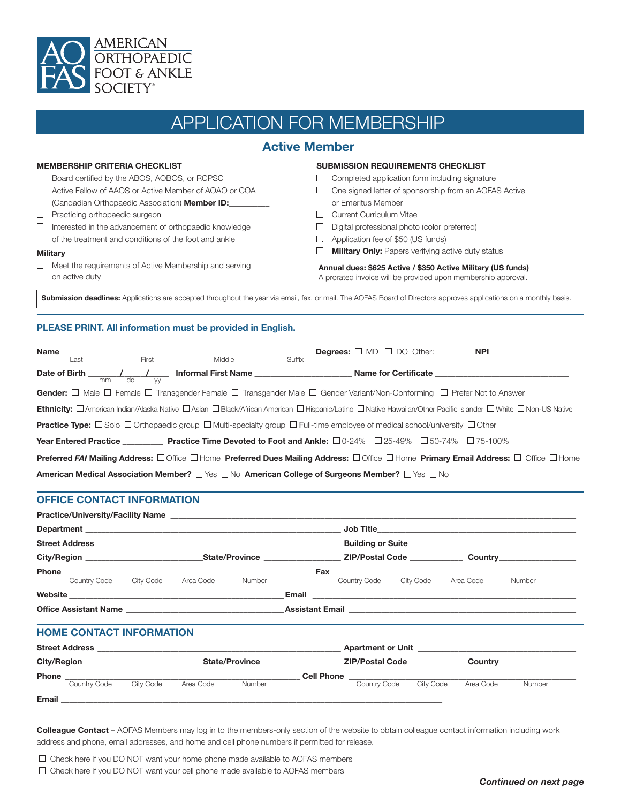

# APPLICATION FOR MEMBERSHIP

### **Active Member**

### **MEMBERSHIP CRITERIA CHECKLIST**

- □ Board certified by the ABOS, AOBOS, or RCPSC
- Active Fellow of AAOS or Active Member of AOAO or COA (Candadian Orthopaedic Association) **Member ID:\_\_\_\_\_\_\_\_\_\_**
- **Practicing orthopaedic surgeon**
- $\Box$  Interested in the advancement of orthopaedic knowledge of the treatment and conditions of the foot and ankle

### **Military**

 $\square$  Meet the requirements of Active Membership and serving on active duty

### **SUBMISSION REQUIREMENTS CHECKLIST**

- $\Box$  Completed application form including signature
- One signed letter of sponsorship from an AOFAS Active
- or Emeritus Member
- **Current Curriculum Vitae**
- $\Box$  Digital professional photo (color preferred)
- □ Application fee of \$50 (US funds)
- **Military Only:** Papers verifying active duty status

### **Annual dues: \$625 Active / \$350 Active Military (US funds)** A prorated invoice will be provided upon membership approval.

Submission deadlines: Applications are accepted throughout the year via email, fax, or mail. The AOFAS Board of Directors approves applications on a monthly basis.

### **PLEASE PRINT. All information must be provided in English.**

| Name                                                                                                                                                                         |      |       |                                                                                                                                                                |        |  |                      |  |  |
|------------------------------------------------------------------------------------------------------------------------------------------------------------------------------|------|-------|----------------------------------------------------------------------------------------------------------------------------------------------------------------|--------|--|----------------------|--|--|
|                                                                                                                                                                              | Last | First | Middle                                                                                                                                                         | Suffix |  |                      |  |  |
|                                                                                                                                                                              |      |       | Date of Birth $\frac{1}{2}$ $\frac{1}{2}$ $\frac{1}{2}$ Informal First Name $\frac{1}{2}$                                                                      |        |  | Name for Certificate |  |  |
|                                                                                                                                                                              |      |       | <b>Gender:</b> $\Box$ Male $\Box$ Female $\Box$ Transgender Female $\Box$ Transgender Male $\Box$ Gender Variant/Non-Conforming $\Box$ Prefer Not to Answer    |        |  |                      |  |  |
|                                                                                                                                                                              |      |       | Ethnicity: <b>Damerican Indian/Alaska Native Dasian DBlack/African American DHispanic/Latino DNative Hawaiian/Other Pacific Islander DWhite DNon-US Native</b> |        |  |                      |  |  |
| <b>Practice Type:</b> $\Box$ Solo $\Box$ Orthopaedic group $\Box$ Multi-specialty group $\Box$ Full-time employee of medical school/university $\Box$ Other                  |      |       |                                                                                                                                                                |        |  |                      |  |  |
|                                                                                                                                                                              |      |       | Year Entered Practice ____________ Practice Time Devoted to Foot and Ankle: □0-24% □25-49% □50-74% □75-100%                                                    |        |  |                      |  |  |
| <b>Preferred FAI Mailing Address:</b> $\Box$ Office $\Box$ Home <b>Preferred Dues Mailing Address:</b> $\Box$ Office <b>Primary Email Address:</b> $\Box$ Office $\Box$ Home |      |       |                                                                                                                                                                |        |  |                      |  |  |
|                                                                                                                                                                              |      |       | American Medical Association Member? $\Box$ Yes $\Box$ No American College of Surgeons Member? $\Box$ Yes $\Box$ No                                            |        |  |                      |  |  |

### **OFFICE CONTACT INFORMATION**

|                                                                                                                |           |           |        |  | ZIP/Postal Code Country Country |                        |           |        |  |
|----------------------------------------------------------------------------------------------------------------|-----------|-----------|--------|--|---------------------------------|------------------------|-----------|--------|--|
|                                                                                                                |           |           |        |  |                                 |                        |           |        |  |
| Country Code City Code                                                                                         |           | Area Code | Number |  | Country Code City Code          |                        | Area Code | Number |  |
|                                                                                                                |           |           |        |  |                                 |                        |           |        |  |
| Office Assistant Name entry and the experimental control assistant Email entry and the experimental control of |           |           |        |  |                                 |                        |           |        |  |
| <b>HOME CONTACT INFORMATION</b>                                                                                |           |           |        |  |                                 |                        |           |        |  |
|                                                                                                                |           |           |        |  |                                 |                        |           |        |  |
|                                                                                                                |           |           |        |  |                                 |                        |           |        |  |
|                                                                                                                |           |           |        |  |                                 |                        |           |        |  |
| Country Code                                                                                                   | City Code | Area Code | Number |  |                                 | Country Code City Code | Area Code | Number |  |
|                                                                                                                |           |           |        |  |                                 |                        |           |        |  |

**Colleague Contact** – AOFAS Members may log in to the members-only section of the website to obtain colleague contact information including work address and phone, email addresses, and home and cell phone numbers if permitted for release.

 $\Box$  Check here if you DO NOT want your home phone made available to AOFAS members

 $\Box$  Check here if you DO NOT want your cell phone made available to AOFAS members